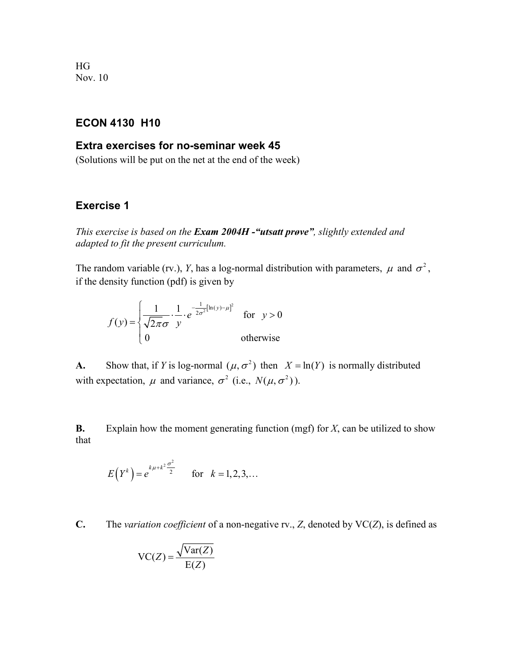HG Nov. 10

## **ECON 4130 H10**

## **Extra exercises for no-seminar week 45**

(Solutions will be put on the net at the end of the week)

## **Exercise 1**

*This exercise is based on the Exam 2004H -"utsatt prøve", slightly extended and adapted to fit the present curriculum.*

The random variable (rv.), *Y*, has a log-normal distribution with parameters,  $\mu$  and  $\sigma^2$ , if the density function (pdf) is given by

$$
f(y) = \begin{cases} \frac{1}{\sqrt{2\pi}\sigma} \cdot \frac{1}{y} \cdot e^{-\frac{1}{2\sigma^2}[\ln(y) - \mu]^2} & \text{for } y > 0\\ 0 & \text{otherwise} \end{cases}
$$

**A.** Show that, if *Y* is log-normal  $(\mu, \sigma^2)$  then  $X = \ln(Y)$  is normally distributed with expectation,  $\mu$  and variance,  $\sigma^2$  (i.e.,  $N(\mu, \sigma^2)$ ).

**B.** Explain how the moment generating function (mgf) for *X*, can be utilized to show that

$$
E(Y^k) = e^{k\mu + k^2 \frac{\sigma^2}{2}}
$$
 for  $k = 1, 2, 3, ...$ 

**C.** The *variation coefficient* of a non-negative rv., *Z*, denoted by VC(*Z*), is defined as

$$
VC(Z) = \frac{\sqrt{Var(Z)}}{E(Z)}
$$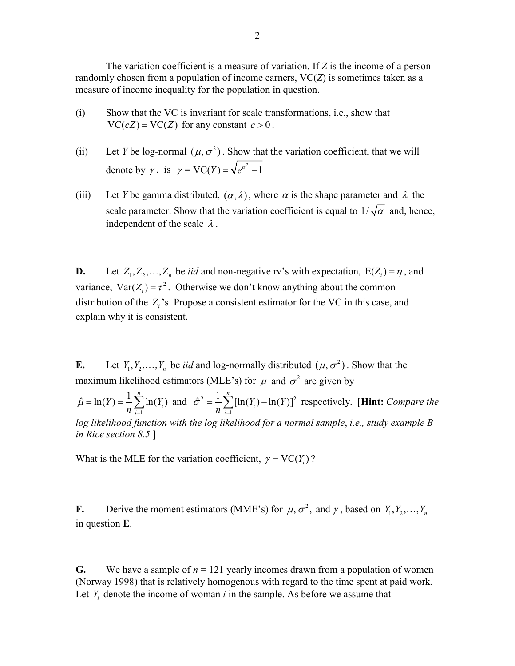The variation coefficient is a measure of variation. If *Z* is the income of a person randomly chosen from a population of income earners,  $VC(Z)$  is sometimes taken as a measure of income inequality for the population in question.

- (i) Show that the VC is invariant for scale transformations, i.e., show that  $VC(cZ) = VC(Z)$  for any constant  $c > 0$ .
- (ii) Let *Y* be log-normal  $(\mu, \sigma^2)$ . Show that the variation coefficient, that we will denote by  $\gamma$ , is  $\gamma = \text{VC}(Y) = \sqrt{e^{\sigma^2} - 1}$
- (iii) Let *Y* be gamma distributed,  $(\alpha, \lambda)$ , where  $\alpha$  is the shape parameter and  $\lambda$  the scale parameter. Show that the variation coefficient is equal to  $1/\sqrt{\alpha}$  and, hence, independent of the scale  $\lambda$ .

**D.** Let  $Z_1, Z_2, ..., Z_n$  be *iid* and non-negative rv's with expectation,  $E(Z_i) = \eta$ , and variance,  $Var(Z_i) = \tau^2$ . Otherwise we don't know anything about the common distribution of the *Zi*'s. Propose a consistent estimator for the VC in this case, and explain why it is consistent.

**E.** Let  $Y_1, Y_2, ..., Y_n$  be *iid* and log-normally distributed  $(\mu, \sigma^2)$ . Show that the maximum likelihood estimators (MLE's) for  $\mu$  and  $\sigma^2$  are given by

1  $\hat{u} = \overline{\ln(Y)} = \frac{1}{n} \sum_{i=1}^{n} \ln(Y_i)$ *i i*  $Y = \frac{1}{2}$   $\ln(Y)$  $\mu = \ln(Y) = -\frac{n}{n}$  $=\overline{\ln(Y)} = \frac{1}{n} \sum_{i=1}^n \ln(Y_i)$  and  $\hat{\sigma}^2 = \frac{1}{n} \sum_{i=1}^n [\ln(Y_i) - \overline{\ln(Y)}]^2$  $\hat{\tau}^2 = \frac{1}{2} \sum_{i=1}^{n} [\ln(Y_i) - \overline{\ln(Y)}]$ *i i*  $Y_i$ ) – ln(*Y*  $\sigma = -\frac{1}{n}$  $=\frac{1}{n}\sum_{i=1}^n [\ln(Y_i) - \overline{\ln(Y)}]^2$  respectively. [**Hint:** *Compare the log likelihood function with the log likelihood for a normal sample*, *i.e., study example B in Rice section 8.5* ]

What is the MLE for the variation coefficient,  $\gamma = \text{VC}(Y_i)$ ?

**F.** Derive the moment estimators (MME's) for  $\mu$ ,  $\sigma^2$ , and  $\gamma$ , based on  $Y_1, Y_2, \ldots, Y_n$ in question **E**.

**G.** We have a sample of  $n = 121$  yearly incomes drawn from a population of women (Norway 1998) that is relatively homogenous with regard to the time spent at paid work. Let  $Y_i$  denote the income of woman  $i$  in the sample. As before we assume that